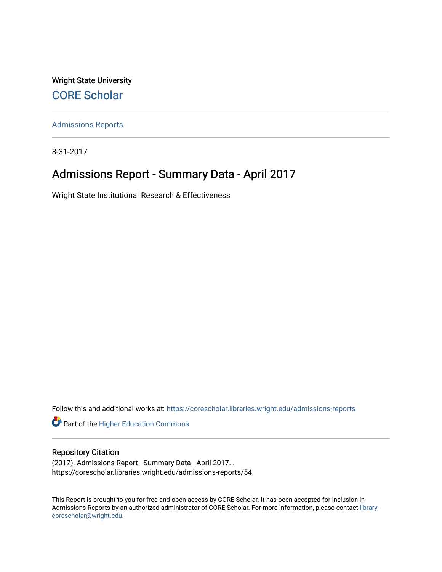Wright State University [CORE Scholar](https://corescholar.libraries.wright.edu/)

[Admissions Reports](https://corescholar.libraries.wright.edu/admissions-reports) 

8-31-2017

# Admissions Report - Summary Data - April 2017

Wright State Institutional Research & Effectiveness

Follow this and additional works at: [https://corescholar.libraries.wright.edu/admissions-reports](https://corescholar.libraries.wright.edu/admissions-reports?utm_source=corescholar.libraries.wright.edu%2Fadmissions-reports%2F54&utm_medium=PDF&utm_campaign=PDFCoverPages) 

Part of the [Higher Education Commons](http://network.bepress.com/hgg/discipline/1245?utm_source=corescholar.libraries.wright.edu%2Fadmissions-reports%2F54&utm_medium=PDF&utm_campaign=PDFCoverPages) 

# Repository Citation

(2017). Admissions Report - Summary Data - April 2017. . https://corescholar.libraries.wright.edu/admissions-reports/54

This Report is brought to you for free and open access by CORE Scholar. It has been accepted for inclusion in Admissions Reports by an authorized administrator of CORE Scholar. For more information, please contact [library](mailto:library-corescholar@wright.edu)[corescholar@wright.edu](mailto:library-corescholar@wright.edu).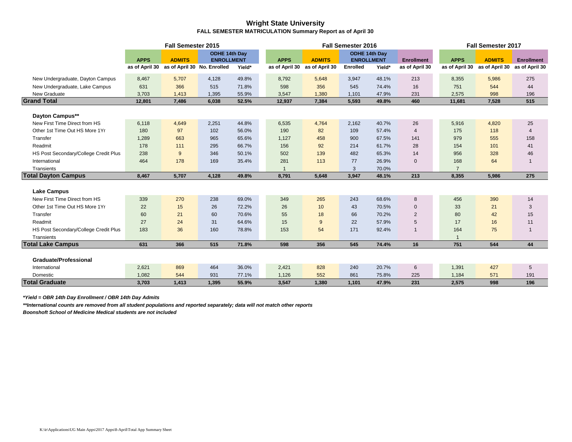### **Wright State University FALL SEMESTER MATRICULATION Summary Report as of April 30**

|                                       |             | <b>Fall Semester 2015</b>                  |                   |        |                |                               | Fall Semester 2016 |        |                   |                | Fall Semester 2017            |                   |
|---------------------------------------|-------------|--------------------------------------------|-------------------|--------|----------------|-------------------------------|--------------------|--------|-------------------|----------------|-------------------------------|-------------------|
|                                       |             |                                            | ODHE 14th Day     |        |                |                               | ODHE 14th Day      |        |                   |                |                               |                   |
|                                       | <b>APPS</b> | <b>ADMITS</b>                              | <b>ENROLLMENT</b> |        | <b>APPS</b>    | <b>ADMITS</b>                 | <b>ENROLLMENT</b>  |        | <b>Enrollment</b> | <b>APPS</b>    | <b>ADMITS</b>                 | <b>Enrollment</b> |
|                                       |             | as of April 30 as of April 30 No. Enrolled |                   | Yield* |                | as of April 30 as of April 30 | Enrolled           | Yield* | as of April 30    | as of April 30 | as of April 30 as of April 30 |                   |
| New Undergraduate, Dayton Campus      | 8,467       | 5,707                                      | 4,128             | 49.8%  | 8,792          | 5,648                         | 3,947              | 48.1%  | 213               | 8,355          | 5,986                         | 275               |
| New Undergraduate, Lake Campus        | 631         | 366                                        | 515               | 71.8%  | 598            | 356                           | 545                | 74.4%  | 16                | 751            | 544                           | 44                |
| New Graduate                          | 3,703       | 1,413                                      | 1,395             | 55.9%  | 3,547          | 1,380                         | 1,101              | 47.9%  | 231               | 2,575          | 998                           | 196               |
| <b>Grand Total</b>                    | 12,801      | 7,486                                      | 6,038             | 52.5%  | 12,937         | 7,384                         | 5,593              | 49.8%  | 460               | 11,681         | 7,528                         | 515               |
|                                       |             |                                            |                   |        |                |                               |                    |        |                   |                |                               |                   |
| Dayton Campus**                       |             |                                            |                   |        |                |                               |                    |        |                   |                |                               |                   |
| New First Time Direct from HS         | 6,118       | 4,649                                      | 2,251             | 44.8%  | 6,535          | 4,764                         | 2,162              | 40.7%  | 26                | 5,916          | 4,820                         | 25                |
| Other 1st Time Out HS More 1Yr        | 180         | 97                                         | 102               | 56.0%  | 190            | 82                            | 109                | 57.4%  | 4                 | 175            | 118                           | $\overline{4}$    |
| Transfer                              | 1,289       | 663                                        | 965               | 65.6%  | 1,127          | 458                           | 900                | 67.5%  | 141               | 979            | 555                           | 158               |
| Readmit                               | 178         | 111                                        | 295               | 66.7%  | 156            | 92                            | 214                | 61.7%  | 28                | 154            | 101                           | 41                |
| HS Post Secondary/College Credit Plus | 238         | 9                                          | 346               | 50.1%  | 502            | 139                           | 482                | 65.3%  | 14                | 956            | 328                           | 46                |
| International                         | 464         | 178                                        | 169               | 35.4%  | 281            | 113                           | 77                 | 26.9%  | $\mathbf{0}$      | 168            | 64                            | -1                |
| Transients                            |             |                                            |                   |        | $\overline{1}$ |                               | 3                  | 70.0%  |                   | $\overline{7}$ |                               |                   |
| <b>Total Dayton Campus</b>            | 8,467       | 5,707                                      | 4,128             | 49.8%  | 8,791          | 5,648                         | 3,947              | 48.1%  | 213               | 8,355          | 5,986                         | 275               |
|                                       |             |                                            |                   |        |                |                               |                    |        |                   |                |                               |                   |
| <b>Lake Campus</b>                    |             |                                            |                   |        |                |                               |                    |        |                   |                |                               |                   |
| New First Time Direct from HS         | 339         | 270                                        | 238               | 69.0%  | 349            | 265                           | 243                | 68.6%  | 8                 | 456            | 390                           | 14                |
| Other 1st Time Out HS More 1Yr        | 22          | 15                                         | 26                | 72.2%  | 26             | 10                            | 43                 | 70.5%  | $\mathbf{0}$      | 33             | 21                            | 3                 |
| Transfer                              | 60          | 21                                         | 60                | 70.6%  | 55             | 18                            | 66                 | 70.2%  | $\overline{2}$    | 80             | 42                            | 15                |
| Readmit                               | 27          | 24                                         | 31                | 64.6%  | 15             | 9                             | 22                 | 57.9%  | 5                 | 17             | 16                            | 11                |
| HS Post Secondary/College Credit Plus | 183         | 36                                         | 160               | 78.8%  | 153            | 54                            | 171                | 92.4%  | $\mathbf{1}$      | 164            | 75                            |                   |
| Transients                            |             |                                            |                   |        |                |                               |                    |        |                   |                |                               |                   |
| <b>Total Lake Campus</b>              | 631         | 366                                        | 515               | 71.8%  | 598            | 356                           | 545                | 74.4%  | 16                | 751            | 544                           | 44                |
|                                       |             |                                            |                   |        |                |                               |                    |        |                   |                |                               |                   |
| <b>Graduate/Professional</b>          |             |                                            |                   |        |                |                               |                    |        |                   |                |                               |                   |
| International                         | 2,621       | 869                                        | 464               | 36.0%  | 2,421          | 828                           | 240                | 20.7%  | 6                 | 1,391          | 427                           | 5                 |
| Domestic                              | 1,082       | 544                                        | 931               | 77.1%  | 1,126          | 552                           | 861                | 75.8%  | 225               | 1,184          | 571                           | 191               |
| <b>Total Graduate</b>                 | 3,703       | 1,413                                      | 1.395             | 55.9%  | 3,547          | 1,380                         | 1.101              | 47.9%  | 231               | 2,575          | 998                           | 196               |

*\*Yield = OBR 14th Day Enrollment / OBR 14th Day Admits*

*\*\*International counts are removed from all student populations and reported separately; data will not match other reports*

*Boonshoft School of Medicine Medical students are not included*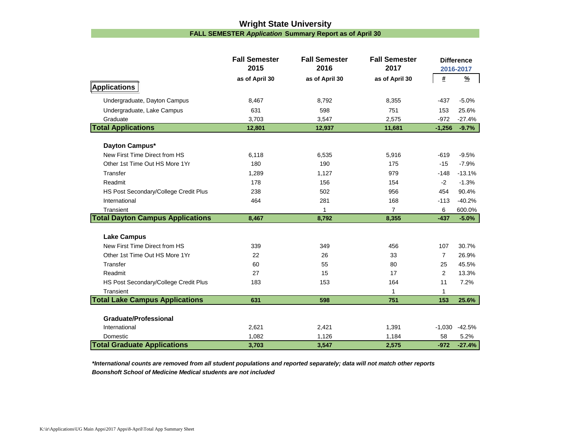# **Wright State University FALL SEMESTER** *Application* **Summary Report as of April 30**

|                                         | <b>Fall Semester</b><br>2015 | <b>Fall Semester</b><br>2016 | <b>Fall Semester</b><br>2017 |                | <b>Difference</b><br>2016-2017 |
|-----------------------------------------|------------------------------|------------------------------|------------------------------|----------------|--------------------------------|
|                                         | as of April 30               | as of April 30               | as of April 30               | #              | $\frac{9}{6}$                  |
| Applications                            |                              |                              |                              |                |                                |
| Undergraduate, Dayton Campus            | 8,467                        | 8,792                        | 8,355                        | $-437$         | $-5.0%$                        |
| Undergraduate, Lake Campus              | 631                          | 598                          | 751                          | 153            | 25.6%                          |
| Graduate                                | 3,703                        | 3,547                        | 2,575                        | $-972$         | $-27.4%$                       |
| <b>Total Applications</b>               | 12,801                       | 12,937                       | 11,681                       | $-1,256$       | $-9.7%$                        |
|                                         |                              |                              |                              |                |                                |
| Dayton Campus*                          |                              |                              |                              |                |                                |
| New First Time Direct from HS           | 6,118                        | 6,535                        | 5,916                        | $-619$         | $-9.5%$                        |
| Other 1st Time Out HS More 1Yr          | 180                          | 190                          | 175                          | $-15$          | $-7.9%$                        |
| Transfer                                | 1,289                        | 1,127                        | 979                          | $-148$         | $-13.1%$                       |
| Readmit                                 | 178                          | 156                          | 154                          | $-2$           | $-1.3%$                        |
| HS Post Secondary/College Credit Plus   | 238                          | 502                          | 956                          | 454            | 90.4%                          |
| International                           | 464                          | 281                          | 168                          | $-113$         | $-40.2%$                       |
| Transient                               |                              | 1                            | $\overline{7}$               | 6              | 600.0%                         |
| <b>Total Dayton Campus Applications</b> | 8,467                        | 8,792                        | 8,355                        | $-437$         | $-5.0%$                        |
| <b>Lake Campus</b>                      |                              |                              |                              |                |                                |
| New First Time Direct from HS           | 339                          | 349                          | 456                          | 107            | 30.7%                          |
| Other 1st Time Out HS More 1Yr          | 22                           | 26                           | 33                           | $\overline{7}$ | 26.9%                          |
| Transfer                                | 60                           | 55                           | 80                           | 25             | 45.5%                          |
| Readmit                                 | 27                           | 15                           | 17                           | $\overline{c}$ | 13.3%                          |
| HS Post Secondary/College Credit Plus   | 183                          | 153                          | 164                          | 11             | 7.2%                           |
| Transient                               |                              |                              | 1                            | 1              |                                |
| <b>Total Lake Campus Applications</b>   | 631                          | 598                          | 751                          | 153            | 25.6%                          |
|                                         |                              |                              |                              |                |                                |
| <b>Graduate/Professional</b>            |                              |                              |                              |                |                                |
| International                           | 2,621                        | 2,421                        | 1,391                        | $-1,030$       | $-42.5%$                       |
| Domestic                                | 1,082                        | 1,126                        | 1,184                        | 58             | 5.2%                           |
| <b>Total Graduate Applications</b>      | 3,703                        | 3,547                        | 2,575                        | $-972$         | $-27.4%$                       |

*\*International counts are removed from all student populations and reported separately; data will not match other reports Boonshoft School of Medicine Medical students are not included*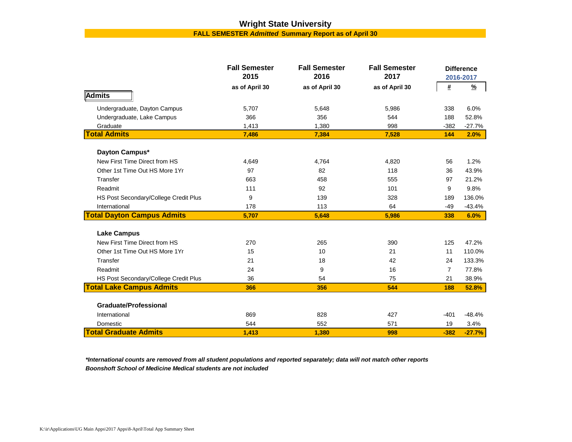# **Wright State University FALL SEMESTER** *Admitted* **Summary Report as of April 30**

|                                       | <b>Fall Semester</b> | <b>Fall Semester</b> | <b>Fall Semester</b> |                | <b>Difference</b> |
|---------------------------------------|----------------------|----------------------|----------------------|----------------|-------------------|
|                                       | 2015                 | 2016                 | 2017                 |                | 2016-2017         |
|                                       | as of April 30       | as of April 30       | as of April 30       | $\pmb{\#}$     | $\frac{9}{2}$     |
| <b>Admits</b>                         |                      |                      |                      |                |                   |
| Undergraduate, Dayton Campus          | 5,707                | 5,648                | 5,986                | 338            | 6.0%              |
| Undergraduate, Lake Campus            | 366                  | 356                  | 544                  | 188            | 52.8%             |
| Graduate                              | 1,413                | 1,380                | 998                  | $-382$         | $-27.7%$          |
| <b>Total Admits</b>                   | 7,486                | 7,384                | 7,528                | 144            | 2.0%              |
| Dayton Campus*                        |                      |                      |                      |                |                   |
| New First Time Direct from HS         | 4,649                | 4,764                | 4,820                | 56             | 1.2%              |
| Other 1st Time Out HS More 1Yr        | 97                   | 82                   | 118                  | 36             | 43.9%             |
| Transfer                              | 663                  | 458                  | 555                  | 97             | 21.2%             |
| Readmit                               | 111                  | 92                   | 101                  | 9              | 9.8%              |
| HS Post Secondary/College Credit Plus | 9                    | 139                  | 328                  | 189            | 136.0%            |
| International                         | 178                  | 113                  | 64                   | $-49$          | $-43.4%$          |
| <b>Total Dayton Campus Admits</b>     | 5,707                | 5,648                | 5,986                | 338            | 6.0%              |
| <b>Lake Campus</b>                    |                      |                      |                      |                |                   |
| New First Time Direct from HS         | 270                  | 265                  | 390                  | 125            | 47.2%             |
| Other 1st Time Out HS More 1Yr        | 15                   | 10                   | 21                   | 11             | 110.0%            |
| Transfer                              | 21                   | 18                   | 42                   | 24             | 133.3%            |
| Readmit                               | 24                   | 9                    | 16                   | $\overline{7}$ | 77.8%             |
| HS Post Secondary/College Credit Plus | 36                   | 54                   | 75                   | 21             | 38.9%             |
| <b>Total Lake Campus Admits</b>       | 366                  | 356                  | 544                  | 188            | 52.8%             |
|                                       |                      |                      |                      |                |                   |
| <b>Graduate/Professional</b>          |                      |                      |                      |                |                   |
| International                         | 869                  | 828                  | 427                  | $-401$         | $-48.4%$          |
| Domestic                              | 544                  | 552                  | 571                  | 19             | 3.4%              |
| <b>Total Graduate Admits</b>          | 1,413                | 1,380                | 998                  | $-382$         | $-27.7%$          |

*\*International counts are removed from all student populations and reported separately; data will not match other reports Boonshoft School of Medicine Medical students are not included*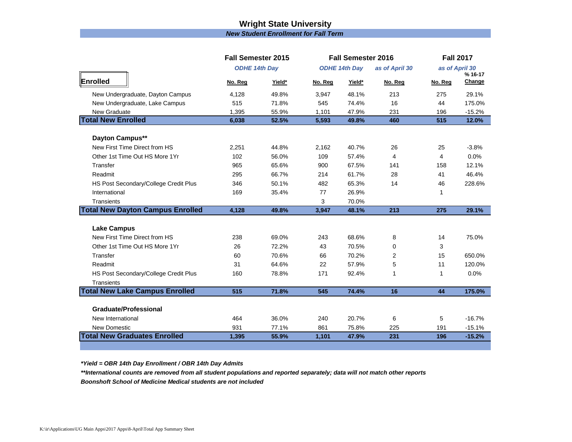# **Wright State University** *New Student Enrollment for Fall Term*

|                                         | <b>Fall Semester 2015</b> |        |         | <b>Fall Semester 2016</b> |                |         | <b>Fall 2017</b>          |
|-----------------------------------------|---------------------------|--------|---------|---------------------------|----------------|---------|---------------------------|
|                                         | <b>ODHE 14th Day</b>      |        |         | <b>ODHE 14th Day</b>      | as of April 30 |         | as of April 30<br>% 16-17 |
| Enrolled                                | No. Reg                   | Yield* | No. Reg | Yield*                    | No. Reg        | No. Reg | Change                    |
| New Undergraduate, Dayton Campus        | 4,128                     | 49.8%  | 3,947   | 48.1%                     | 213            | 275     | 29.1%                     |
| New Undergraduate, Lake Campus          | 515                       | 71.8%  | 545     | 74.4%                     | 16             | 44      | 175.0%                    |
| New Graduate                            | 1,395                     | 55.9%  | 1,101   | 47.9%                     | 231            | 196     | $-15.2%$                  |
| <b>Total New Enrolled</b>               | 6,038                     | 52.5%  | 5,593   | 49.8%                     | 460            | 515     | 12.0%                     |
| Dayton Campus**                         |                           |        |         |                           |                |         |                           |
| New First Time Direct from HS           | 2,251                     | 44.8%  | 2,162   | 40.7%                     | 26             | 25      | $-3.8%$                   |
| Other 1st Time Out HS More 1Yr          | 102                       | 56.0%  | 109     | 57.4%                     | $\overline{4}$ | 4       | 0.0%                      |
| Transfer                                | 965                       | 65.6%  | 900     | 67.5%                     | 141            | 158     | 12.1%                     |
| Readmit                                 | 295                       | 66.7%  | 214     | 61.7%                     | 28             | 41      | 46.4%                     |
| HS Post Secondary/College Credit Plus   | 346                       | 50.1%  | 482     | 65.3%                     | 14             | 46      | 228.6%                    |
| International                           | 169                       | 35.4%  | 77      | 26.9%                     |                | 1       |                           |
| Transients                              |                           |        | 3       | 70.0%                     |                |         |                           |
| <b>Total New Dayton Campus Enrolled</b> | 4,128                     | 49.8%  | 3,947   | 48.1%                     | 213            | 275     | 29.1%                     |
| <b>Lake Campus</b>                      |                           |        |         |                           |                |         |                           |
| New First Time Direct from HS           | 238                       | 69.0%  | 243     | 68.6%                     | 8              | 14      | 75.0%                     |
| Other 1st Time Out HS More 1Yr          | 26                        | 72.2%  | 43      | 70.5%                     | $\Omega$       | 3       |                           |
| Transfer                                | 60                        | 70.6%  | 66      | 70.2%                     | 2              | 15      | 650.0%                    |
| Readmit                                 | 31                        | 64.6%  | 22      | 57.9%                     | 5              | 11      | 120.0%                    |
| HS Post Secondary/College Credit Plus   | 160                       | 78.8%  | 171     | 92.4%                     | $\mathbf 1$    | 1       | 0.0%                      |
| <b>Transients</b>                       |                           |        |         |                           |                |         |                           |
| <b>Total New Lake Campus Enrolled</b>   | 515                       | 71.8%  | 545     | 74.4%                     | 16             | 44      | 175.0%                    |
| <b>Graduate/Professional</b>            |                           |        |         |                           |                |         |                           |
| New International                       | 464                       | 36.0%  | 240     | 20.7%                     | 6              | 5       | $-16.7%$                  |
| New Domestic                            | 931                       | 77.1%  | 861     | 75.8%                     | 225            | 191     | $-15.1%$                  |
| <b>Total New Graduates Enrolled</b>     | 1,395                     | 55.9%  | 1,101   | 47.9%                     | 231            | 196     | $-15.2%$                  |

*\*Yield = OBR 14th Day Enrollment / OBR 14th Day Admits*

*\*\*International counts are removed from all student populations and reported separately; data will not match other reports*

*Boonshoft School of Medicine Medical students are not included*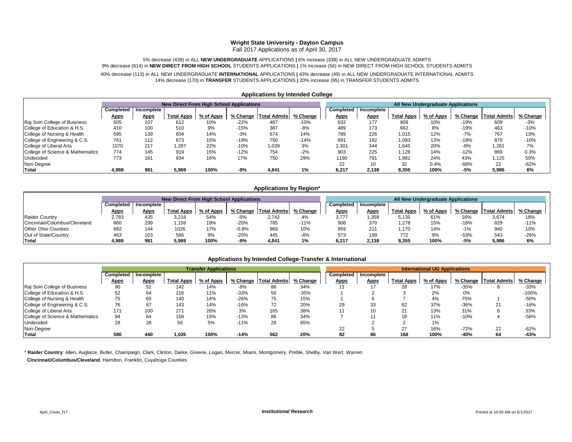#### **Wright State University - Dayton Campus**

Fall 2017 Applications as of April 30, 2017

5% decrease (439) in ALL **NEW UNDERGRADUATE** APPLICATIONS **|** 6% increase (338) in ALL NEW UNDERGRADUATE ADMITS 9% decrease (614) in **NEW DIRECT FROM HIGH SCHOOL** STUDENTS APPLICATIONS **|** 1% increase (56) in NEW DIRECT FROM HIGH SCHOOL STUDENTS ADMITS

40% decrease (113) in ALL NEW UNDERGRADUATE **INTERNATIONAL** APPLICATIONS **|** 43% decrease (49) in ALL NEW UNDERGRADUATE INTERNATIONAL ADMITS 14% decrease (170) in **TRANSFER** STUDENTS APPLICATIONS **|** 20% increase (95) in TRANSFER STUDENTS ADMITS

|                                  |             |             | <b>New Direct From High School Applications</b> |           |          |                     |          | All New Undergraduate Applications |             |                   |           |          |                     |          |
|----------------------------------|-------------|-------------|-------------------------------------------------|-----------|----------|---------------------|----------|------------------------------------|-------------|-------------------|-----------|----------|---------------------|----------|
|                                  | Completed   | Incomplete  |                                                 |           |          |                     |          | Completed                          | Incomplete  |                   |           |          |                     |          |
|                                  | <u>Apps</u> | <b>Apps</b> | <b>Total Apps</b>                               | % of Apps | % Change | <b>Total Admits</b> | % Change | <u>Apps</u>                        | <b>Apps</b> | <b>Total Apps</b> | % of Apps | % Change | <b>Total Admits</b> | % Change |
| Raj Soin College of Business     | 505         | 107         | 612                                             | 10%       | $-22%$   | 487                 | $-10%$   | 632                                | 177         | 809               | 10%       | $-19%$   | 609                 | $-3%$    |
| College of Education & H.S.      | 410         | 100         | 510                                             | 9%        | $-15%$   | 387                 | $-8%$    | 489                                | 173         | 662               | 8%        | $-19%$   | 463                 | $-10%$   |
| College of Nursing & Health      | 695         | 139         | 834                                             | 14%       | $-3%$    | 674                 | 14%      | 789                                | 226         | 1,015             | 12%       | $-7%$    | 767                 | 13%      |
| College of Engineering & C.S.    | 761         | 112         | 873                                             | 15%       | $-19%$   | 750                 | $-14%$   | 891                                | 192         | 1,083             | 13%       | $-19%$   | 870                 | $-10%$   |
| College of Liberal Arts          | 1070        | 217         | 1,287                                           | 22%       | $-10%$   | 1,039               | 3%       | 1,301                              | 344         | 1,645             | 20%       | $-8%$    | 1,261               | 7%       |
| College of Science & Mathematics | 774         | 145         | 919                                             | 15%       | $-12%$   | 754                 | $-2%$    | 903                                | 225         | 1.128             | 14%       | $-12%$   | 869                 | 0.3%     |
| Undecided                        | 773         | 161         | 934                                             | 16%       | 17%      | 750                 | 29%      | 1190                               | 791         | 1,981             | 24%       | 43%      | 1,125               | 50%      |
| Non-Degree                       |             |             |                                                 |           |          |                     |          | 22                                 |             | 32                | 0.4%      | $-68%$   | 22                  | $-62%$   |
| Total                            | 4.988       | 981         | 5,969                                           | 100%      | $-9%$    | 4.841               | 1%       | 6.217                              | 2.138       | 8,355             | 100%      | $-5%$    | 5,986               | 6%       |

#### **Applications by Intended College**

#### **Applications by Region\***

|                               |             |             | <b>New Direct From High School Applications</b> |           |          |                     |          | All New Undergraduate Applications |                        |                   |           |        |                         |          |
|-------------------------------|-------------|-------------|-------------------------------------------------|-----------|----------|---------------------|----------|------------------------------------|------------------------|-------------------|-----------|--------|-------------------------|----------|
|                               | Completed   | Incomplete  |                                                 |           |          |                     |          |                                    | Completed   Incomplete |                   |           |        |                         |          |
|                               | <u>Apps</u> | <u>Apps</u> | <b>Total Apps</b>                               | % of Apps | % Change | <b>Total Admits</b> | % Change | <u>Apps</u>                        | <b>Apps</b>            | <b>Total Apps</b> | % of Apps |        | % Change   Total Admits | % Change |
| <b>Raider Country</b>         | 2,783       | 435         | 3,218                                           | 54%       | $-5%$    | 2.742               | 4%       | 3.777                              | 1,358                  | 5,135             | 61%       | 16%    | 3,674                   | 18%      |
| Cincinnati/Columbus/Cleveland | 860         | 299         | .159                                            | 19%       | $-20%$   | 785                 | $-11%$   | 908                                | 370                    | 1,278             | 15%       | $-18%$ | 829                     | $-11%$   |
| <b>Other Ohio Counties</b>    | 882         | 144         | 1026                                            | 17%       | $-0.8%$  | 869                 | 10%      | 959                                | 211                    | 1,170             | 14%       | $-1\%$ | 940                     | 10%      |
| Out of State/Country          | 463         | 103         | 566                                             | 9%        | $-20%$   | 445                 | $-4%$    | 573                                | 199                    | 772               | 9%        | $-53%$ | 543                     | $-26%$   |
| Total                         | 4.988       | 981         | 5,969                                           | 100%      | $-9%$    | 4.841               | 1%       | 6.217                              | 2.138                  | 8,355             | 100%      | -5%    | 5.986                   | 6%       |

### **Applications by Intended College-Transfer & International**

|                                  |             |             |                   | <b>Transfer Applications</b> |        |                         |          | <b>International UG Applications</b> |             |                   |           |        |                         |          |
|----------------------------------|-------------|-------------|-------------------|------------------------------|--------|-------------------------|----------|--------------------------------------|-------------|-------------------|-----------|--------|-------------------------|----------|
|                                  | Completed   | Incomplete  |                   |                              |        |                         |          | Completed                            | Incomplete  |                   |           |        |                         |          |
|                                  | <u>Apps</u> | <b>Apps</b> | <b>Total Apps</b> | % of Apps                    |        | % Change   Total Admits | % Change | <b>Apps</b>                          | <b>Apps</b> | <b>Total Apps</b> | % of Apps |        | % Change   Total Admits | % Change |
| Raj Soin College of Business     | 90          | 52          | 142               | 14%                          | -8%    | 86                      | 34%      | 11                                   |             | 28                | 17%       | $-35%$ |                         | $-33%$   |
| College of Education & H.S.      | 52          | 64          | 116               | 11%                          | $-33%$ | 50                      | $-35%$   |                                      |             |                   | 2%        | 0%     |                         | $-100%$  |
| College of Nursing & Health      | 75          | 65          | 140               | 14%                          | $-26%$ | 75                      | 15%      |                                      |             |                   | 4%        | 75%    |                         | $-50%$   |
| College of Engineering & C.S.    | 76          | 67          | 143               | 14%                          | $-16%$ | 72                      | 20%      | 29                                   | 33          | 62                | 37%       | $-36%$ | 21                      | $-16%$   |
| College of Liberal Arts          | 171         | 100         | 271               | 26%                          | 3%     | 165                     | 38%      | 11                                   | 10          | 21                | 13%       | 31%    |                         | 33%      |
| College of Science & Mathematics | 94          | 64          | 158               | 15%                          | $-13%$ | 86                      | 34%      |                                      |             | 18                | 11%       | $-10%$ |                         | $-56%$   |
| Undecided                        | 28          | 28          | 56                | 5%                           | $-11%$ | 28                      | 65%      |                                      |             |                   | 1%        |        |                         |          |
| Non-Degree                       |             |             |                   |                              |        |                         |          | 22                                   |             | 27                | 16%       | $-72%$ | 22                      | $-62%$   |
| Total                            | 586         | 440         | 1,026             | 100%                         | $-14%$ | 562                     | 20%      | 82                                   | 86          | 168               | 100%      | -40%   | 64                      | -43%     |

\* **Raider Country**: Allen, Auglaize, Butler, Champaign, Clark, Clinton, Darke, Greene, Logan, Mercer, Miami, Montgomery, Preble, Shelby, Van Wert, Warren

 **Cincinnati/Columbus/Cleveland**: Hamilton, Franklin, Cuyahoga Counties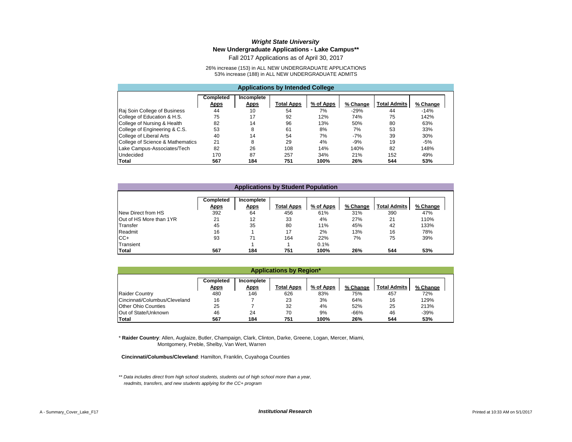### *Wright State University* **New Undergraduate Applications - Lake Campus\*\***

Fall 2017 Applications as of April 30, 2017

26% increase (153) in ALL NEW UNDERGRADUATE APPLICATIONS 53% increase (188) in ALL NEW UNDERGRADUATE ADMITS

|                                  | <b>Applications by Intended College</b> |                                  |            |           |          |                     |          |  |  |  |  |
|----------------------------------|-----------------------------------------|----------------------------------|------------|-----------|----------|---------------------|----------|--|--|--|--|
|                                  | <b>Completed</b><br><b>Apps</b>         | <b>Incomplete</b><br><b>Apps</b> | Total Apps | % of Apps | % Change | <b>Total Admits</b> | % Change |  |  |  |  |
| Raj Soin College of Business     | 44                                      | 10                               | 54         | 7%        | $-29%$   | 44                  | $-14%$   |  |  |  |  |
| College of Education & H.S.      | 75                                      | 17                               | 92         | 12%       | 74%      | 75                  | 142%     |  |  |  |  |
| College of Nursing & Health      | 82                                      | 14                               | 96         | 13%       | 50%      | 80                  | 63%      |  |  |  |  |
| College of Engineering & C.S.    | 53                                      | 8                                | 61         | 8%        | 7%       | 53                  | 33%      |  |  |  |  |
| College of Liberal Arts          | 40                                      | 14                               | 54         | 7%        | $-7%$    | 39                  | 30%      |  |  |  |  |
| College of Science & Mathematics | 21                                      | 8                                | 29         | 4%        | $-9%$    | 19                  | -5%      |  |  |  |  |
| Lake Campus-Associates/Tech      | 82                                      | 26                               | 108        | 14%       | 140%     | 82                  | 148%     |  |  |  |  |
| Undecided                        | 170                                     | 87                               | 257        | 34%       | 21%      | 152                 | 49%      |  |  |  |  |
| Total                            | 567                                     | 184                              | 751        | 100%      | 26%      | 544                 | 53%      |  |  |  |  |

|                          | <b>Applications by Student Population</b> |             |                   |           |          |                     |          |  |  |  |  |
|--------------------------|-------------------------------------------|-------------|-------------------|-----------|----------|---------------------|----------|--|--|--|--|
|                          |                                           |             |                   |           |          |                     |          |  |  |  |  |
|                          | Completed                                 | Incomplete  |                   |           |          |                     |          |  |  |  |  |
|                          | <b>Apps</b>                               | <b>Apps</b> | <b>Total Apps</b> | % of Apps | % Change | <b>Total Admits</b> | % Change |  |  |  |  |
| New Direct from HS       | 392                                       | 64          | 456               | 61%       | 31%      | 390                 | 47%      |  |  |  |  |
| IOut of HS More than 1YR | 21                                        | 12          | 33                | 4%        | 27%      | 21                  | 110%     |  |  |  |  |
| Transfer                 | 45                                        | 35          | 80                | 11%       | 45%      | 42                  | 133%     |  |  |  |  |
| Readmit                  | 16                                        |             | 17                | 2%        | 13%      | 16                  | 78%      |  |  |  |  |
| $CC+$                    | 93                                        | 71          | 164               | 22%       | 7%       | 75                  | 39%      |  |  |  |  |
| Transient                |                                           |             |                   | 0.1%      |          |                     |          |  |  |  |  |
| <b>Total</b>             | 567                                       | 184         | 751               | 100%      | 26%      | 544                 | 53%      |  |  |  |  |

|                               |                          |                           | <b>Applications by Region*</b> |           |          |                     |          |  |
|-------------------------------|--------------------------|---------------------------|--------------------------------|-----------|----------|---------------------|----------|--|
|                               | Completed<br><b>Apps</b> | Incomplete<br><b>Apps</b> | <b>Total Apps</b>              | % of Apps | % Change | <b>Total Admits</b> | % Change |  |
| <b>Raider Country</b>         | 480                      | 146                       | 626                            | 83%       | 75%      | 457                 | 72%      |  |
| Cincinnati/Columbus/Cleveland | 16                       |                           | 23                             | 3%        | 64%      | 16                  | 129%     |  |
| Other Ohio Counties           | 25                       |                           | 32                             | 4%        | 52%      | 25                  | 213%     |  |
| Out of State/Unknown          | 46                       | 24                        | 70                             | 9%        | $-66%$   | 46                  | $-39%$   |  |
| <b>Total</b>                  | 567                      | 184                       | 751                            | 100%      | 26%      | 544                 | 53%      |  |

\* **Raider Country**: Allen, Auglaize, Butler, Champaign, Clark, Clinton, Darke, Greene, Logan, Mercer, Miami, Montgomery, Preble, Shelby, Van Wert, Warren

 **Cincinnati/Columbus/Cleveland**: Hamilton, Franklin, Cuyahoga Counties

*\*\* Data includes direct from high school students, students out of high school more than a year, readmits, transfers, and new students applying for the CC+ program*